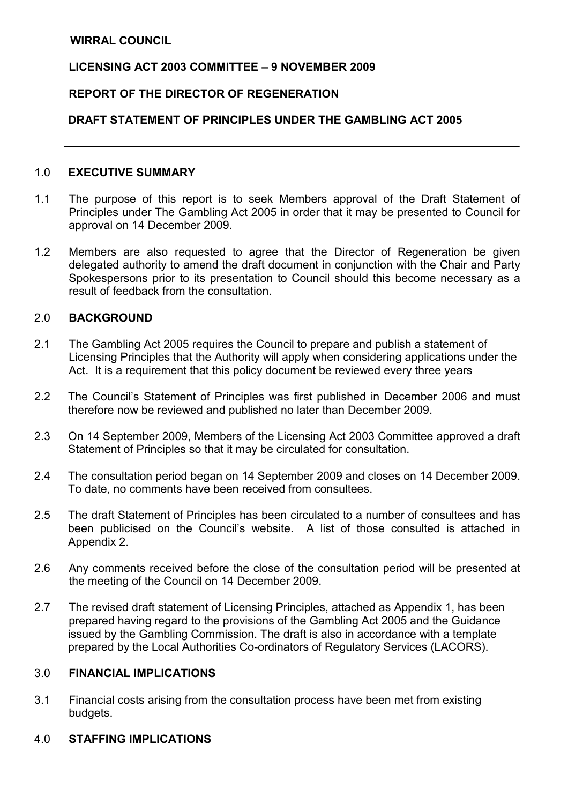### LICENSING ACT 2003 COMMITTEE – 9 NOVEMBER 2009

#### REPORT OF THE DIRECTOR OF REGENERATION

### DRAFT STATEMENT OF PRINCIPLES UNDER THE GAMBLING ACT 2005

### 1.0 EXECUTIVE SUMMARY

- 1.1 The purpose of this report is to seek Members approval of the Draft Statement of Principles under The Gambling Act 2005 in order that it may be presented to Council for approval on 14 December 2009.
- 1.2 Members are also requested to agree that the Director of Regeneration be given delegated authority to amend the draft document in conjunction with the Chair and Party Spokespersons prior to its presentation to Council should this become necessary as a result of feedback from the consultation.

#### 2.0 BACKGROUND

- 2.1 The Gambling Act 2005 requires the Council to prepare and publish a statement of Licensing Principles that the Authority will apply when considering applications under the Act. It is a requirement that this policy document be reviewed every three years
- 2.2 The Council's Statement of Principles was first published in December 2006 and must therefore now be reviewed and published no later than December 2009.
- 2.3 On 14 September 2009, Members of the Licensing Act 2003 Committee approved a draft Statement of Principles so that it may be circulated for consultation.
- 2.4 The consultation period began on 14 September 2009 and closes on 14 December 2009. To date, no comments have been received from consultees.
- 2.5 The draft Statement of Principles has been circulated to a number of consultees and has been publicised on the Council's website. A list of those consulted is attached in Appendix 2.
- 2.6 Any comments received before the close of the consultation period will be presented at the meeting of the Council on 14 December 2009.
- 2.7 The revised draft statement of Licensing Principles, attached as Appendix 1, has been prepared having regard to the provisions of the Gambling Act 2005 and the Guidance issued by the Gambling Commission. The draft is also in accordance with a template prepared by the Local Authorities Co-ordinators of Regulatory Services (LACORS).

#### 3.0 FINANCIAL IMPLICATIONS

3.1 Financial costs arising from the consultation process have been met from existing budgets.

### 4.0 STAFFING IMPLICATIONS